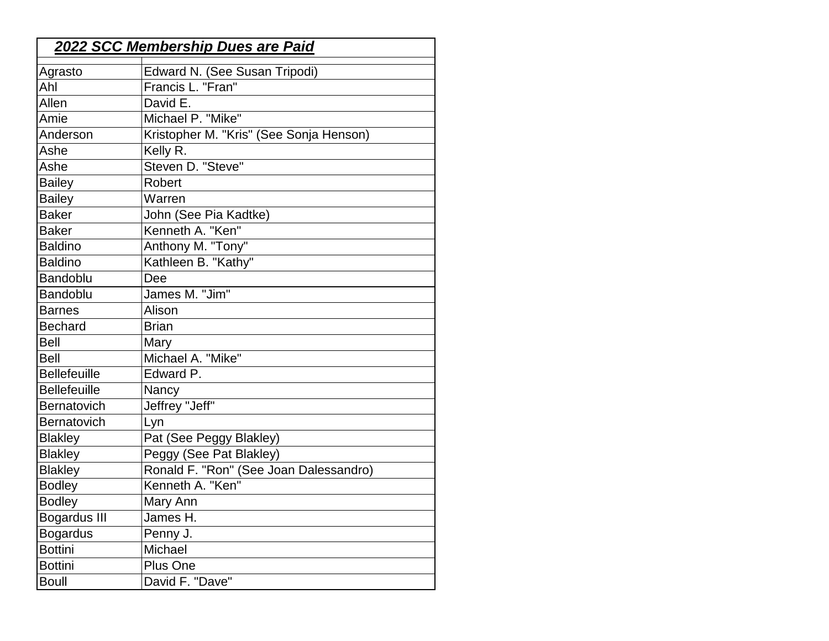| <b>2022 SCC Membership Dues are Paid</b> |                                         |  |
|------------------------------------------|-----------------------------------------|--|
| Agrasto                                  | Edward N. (See Susan Tripodi)           |  |
| Ahl                                      | Francis L. "Fran"                       |  |
| Allen                                    | David E.                                |  |
| Amie                                     | Michael P. "Mike"                       |  |
| Anderson                                 | Kristopher M. "Kris" (See Sonja Henson) |  |
| Ashe                                     | Kelly R.                                |  |
| Ashe                                     | Steven D. "Steve"                       |  |
| <b>Bailey</b>                            | Robert                                  |  |
| <b>Bailey</b>                            | Warren                                  |  |
| <b>Baker</b>                             | John (See Pia Kadtke)                   |  |
| <b>Baker</b>                             | Kenneth A. "Ken"                        |  |
| <b>Baldino</b>                           | Anthony M. "Tony"                       |  |
| <b>Baldino</b>                           | Kathleen B. "Kathy"                     |  |
| <b>Bandoblu</b>                          | Dee                                     |  |
| <b>Bandoblu</b>                          | James M. "Jim"                          |  |
| <b>Barnes</b>                            | Alison                                  |  |
| <b>Bechard</b>                           | <b>Brian</b>                            |  |
| <b>Bell</b>                              | Mary                                    |  |
| <b>Bell</b>                              | Michael A. "Mike"                       |  |
| <b>Bellefeuille</b>                      | Edward P.                               |  |
| <b>Bellefeuille</b>                      | Nancy                                   |  |
| <b>Bernatovich</b>                       | Jeffrey "Jeff"                          |  |
| Bernatovich                              | Lyn                                     |  |
| <b>Blakley</b>                           | Pat (See Peggy Blakley)                 |  |
| <b>Blakley</b>                           | Peggy (See Pat Blakley)                 |  |
| <b>Blakley</b>                           | Ronald F. "Ron" (See Joan Dalessandro)  |  |
| <b>Bodley</b>                            | Kenneth A. "Ken"                        |  |
| <b>Bodley</b>                            | Mary Ann                                |  |
| <b>Bogardus III</b>                      | James H.                                |  |
| <b>Bogardus</b>                          | Penny J.                                |  |
| <b>Bottini</b>                           | Michael                                 |  |
| <b>Bottini</b>                           | Plus One                                |  |
| <b>Boull</b>                             | David F. "Dave"                         |  |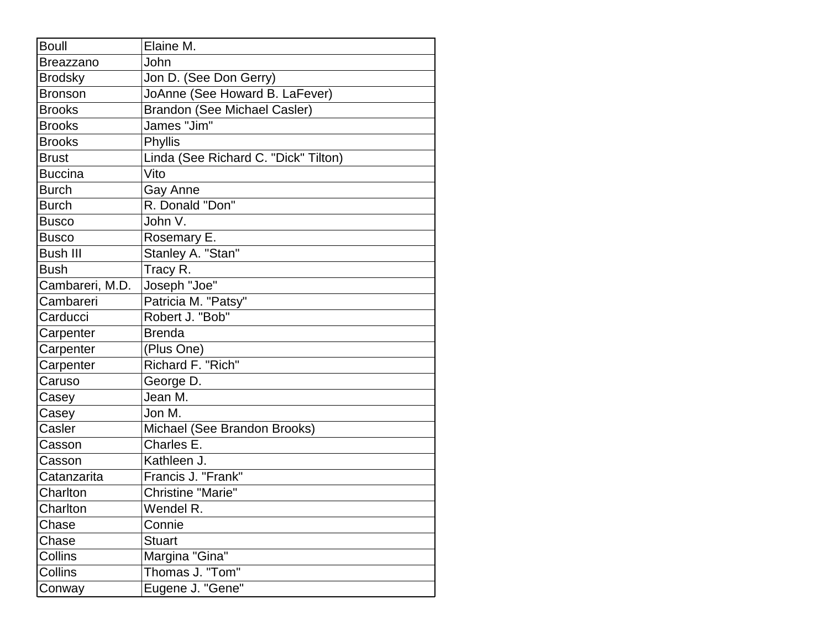| <b>Boull</b>     | Elaine M.                            |
|------------------|--------------------------------------|
| <b>Breazzano</b> | John                                 |
| <b>Brodsky</b>   | Jon D. (See Don Gerry)               |
| <b>Bronson</b>   | JoAnne (See Howard B. LaFever)       |
| <b>Brooks</b>    | <b>Brandon (See Michael Casler)</b>  |
| <b>Brooks</b>    | James "Jim"                          |
| <b>Brooks</b>    | Phyllis                              |
| <b>Brust</b>     | Linda (See Richard C. "Dick" Tilton) |
| <b>Buccina</b>   | Vito                                 |
| <b>Burch</b>     | Gay Anne                             |
| <b>Burch</b>     | R. Donald "Don"                      |
| <b>Busco</b>     | John V.                              |
| <b>Busco</b>     | Rosemary E.                          |
| <b>Bush III</b>  | Stanley A. "Stan"                    |
| <b>Bush</b>      | Tracy R.                             |
| Cambareri, M.D.  | Joseph "Joe"                         |
| Cambareri        | Patricia M. "Patsy"                  |
| Carducci         | Robert J. "Bob"                      |
| Carpenter        | <b>Brenda</b>                        |
| Carpenter        | (Plus One)                           |
| Carpenter        | Richard F. "Rich"                    |
| Caruso           | George D.                            |
| Casey            | Jean M.                              |
| Casey            | Jon M.                               |
| Casler           | Michael (See Brandon Brooks)         |
| Casson           | Charles E.                           |
| Casson           | Kathleen J.                          |
| Catanzarita      | Francis J. "Frank"                   |
| Charlton         | <b>Christine "Marie"</b>             |
| Charlton         | Wendel R.                            |
| Chase            | Connie                               |
| Chase            | <b>Stuart</b>                        |
| Collins          | Margina "Gina"                       |
| Collins          | Thomas J. "Tom"                      |
| Conway           | Eugene J. "Gene"                     |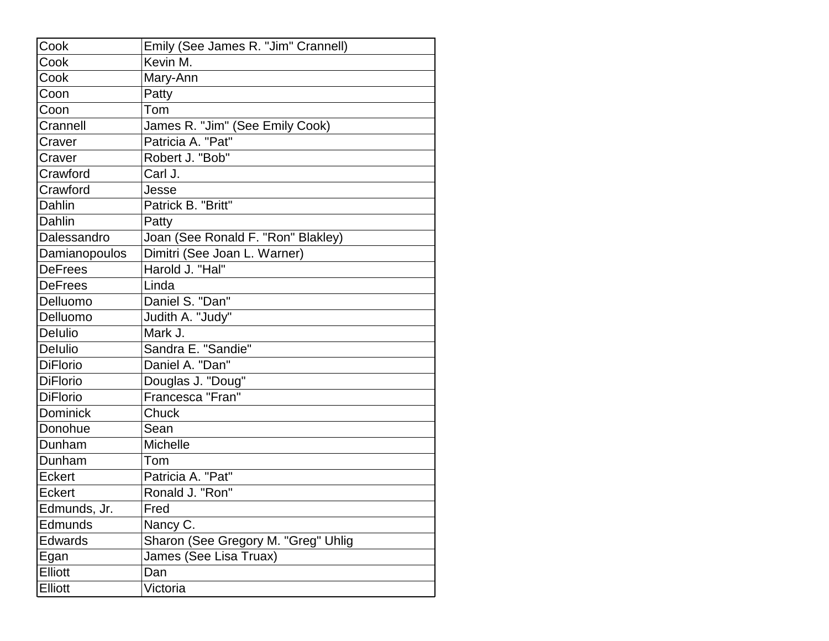| Cook            | Emily (See James R. "Jim" Crannell) |
|-----------------|-------------------------------------|
| Cook            | Kevin M.                            |
| Cook            | Mary-Ann                            |
| Coon            | Patty                               |
| Coon            | Tom                                 |
| Crannell        | James R. "Jim" (See Emily Cook)     |
| Craver          | Patricia A. "Pat"                   |
| Craver          | Robert J. "Bob"                     |
| Crawford        | Carl J.                             |
| Crawford        | Jesse                               |
| Dahlin          | Patrick B. "Britt"                  |
| Dahlin          | Patty                               |
| Dalessandro     | Joan (See Ronald F. "Ron" Blakley)  |
| Damianopoulos   | Dimitri (See Joan L. Warner)        |
| <b>DeFrees</b>  | Harold J. "Hal"                     |
| <b>DeFrees</b>  | Linda                               |
| Delluomo        | Daniel S. "Dan"                     |
| Delluomo        | Judith A. "Judy"                    |
| <b>Delulio</b>  | Mark J.                             |
| Delulio         | Sandra E. "Sandie"                  |
| <b>DiFlorio</b> | Daniel A. "Dan"                     |
| <b>DiFlorio</b> | Douglas J. "Doug"                   |
| <b>DiFlorio</b> | Francesca "Fran"                    |
| <b>Dominick</b> | Chuck                               |
| Donohue         | Sean                                |
| Dunham          | Michelle                            |
| Dunham          | Tom                                 |
| <b>Eckert</b>   | Patricia A. "Pat"                   |
| Eckert          | Ronald J. "Ron"                     |
| Edmunds, Jr.    | Fred                                |
| Edmunds         | Nancy C.                            |
| <b>Edwards</b>  | Sharon (See Gregory M. "Greg" Uhlig |
| Egan            | James (See Lisa Truax)              |
| Elliott         | Dan                                 |
| Elliott         | Victoria                            |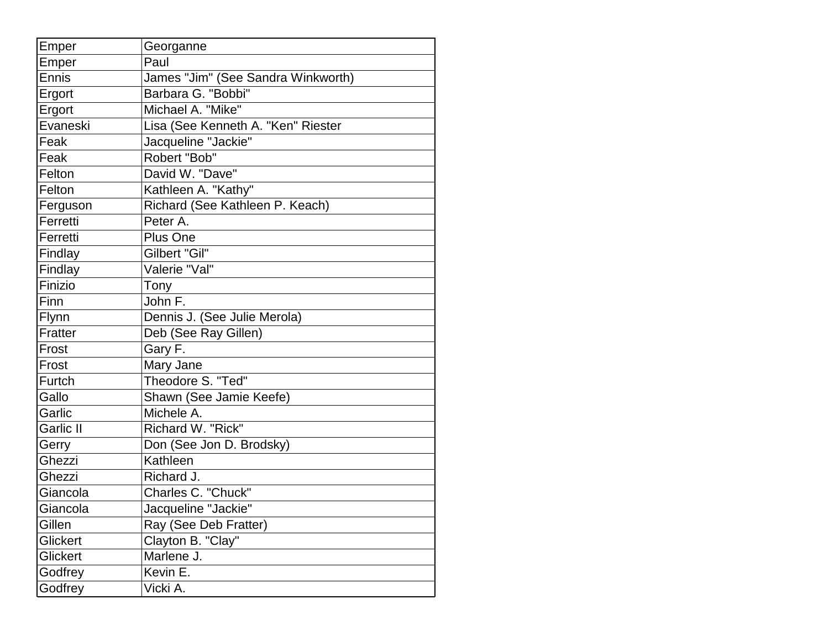| Georganne<br>Paul<br>Emper<br>James "Jim" (See Sandra Winkworth)<br>Barbara G. "Bobbi"<br>Michael A. "Mike"<br>Lisa (See Kenneth A. "Ken" Riester<br>Jacqueline "Jackie"<br>Robert "Bob"<br>David W. "Dave"<br>Kathleen A. "Kathy"<br>Richard (See Kathleen P. Keach)<br>Peter A.<br><b>Plus One</b><br>Gilbert "Gil"<br>Valerie "Val"<br>Tony<br>John F.<br>Dennis J. (See Julie Merola)<br>Deb (See Ray Gillen)<br>Gary F.<br>Mary Jane<br>Theodore S. "Ted"<br>Gallo<br>Shawn (See Jamie Keefe)<br>Michele A.<br>Richard W. "Rick"<br>Don (See Jon D. Brodsky)<br>Kathleen<br>Ghezzi<br>Ghezzi<br>Richard J.<br>Charles C. "Chuck"<br>Jacqueline "Jackie"<br>Giancola<br>Ray (See Deb Fratter)<br>Gillen<br>Clayton B. "Clay"<br>Glickert<br>Marlene J.<br>Glickert<br>Kevin E.<br>Godfrey<br>Vicki A. |         |  |
|-----------------------------------------------------------------------------------------------------------------------------------------------------------------------------------------------------------------------------------------------------------------------------------------------------------------------------------------------------------------------------------------------------------------------------------------------------------------------------------------------------------------------------------------------------------------------------------------------------------------------------------------------------------------------------------------------------------------------------------------------------------------------------------------------------------|---------|--|
| Ennis<br>Ergort<br>Ergort<br>Evaneski<br>Feak<br>Feak<br>Felton<br>Felton<br>Ferguson<br>Ferretti<br>Ferretti<br>Findlay<br>Findlay<br>Finizio<br>Finn<br>Flynn<br>Fratter<br>Frost<br>Frost<br>Furtch<br>Garlic<br><b>Garlic II</b><br>Gerry<br>Giancola                                                                                                                                                                                                                                                                                                                                                                                                                                                                                                                                                 | Emper   |  |
|                                                                                                                                                                                                                                                                                                                                                                                                                                                                                                                                                                                                                                                                                                                                                                                                           |         |  |
|                                                                                                                                                                                                                                                                                                                                                                                                                                                                                                                                                                                                                                                                                                                                                                                                           |         |  |
|                                                                                                                                                                                                                                                                                                                                                                                                                                                                                                                                                                                                                                                                                                                                                                                                           |         |  |
|                                                                                                                                                                                                                                                                                                                                                                                                                                                                                                                                                                                                                                                                                                                                                                                                           |         |  |
|                                                                                                                                                                                                                                                                                                                                                                                                                                                                                                                                                                                                                                                                                                                                                                                                           |         |  |
|                                                                                                                                                                                                                                                                                                                                                                                                                                                                                                                                                                                                                                                                                                                                                                                                           |         |  |
|                                                                                                                                                                                                                                                                                                                                                                                                                                                                                                                                                                                                                                                                                                                                                                                                           |         |  |
|                                                                                                                                                                                                                                                                                                                                                                                                                                                                                                                                                                                                                                                                                                                                                                                                           |         |  |
|                                                                                                                                                                                                                                                                                                                                                                                                                                                                                                                                                                                                                                                                                                                                                                                                           |         |  |
|                                                                                                                                                                                                                                                                                                                                                                                                                                                                                                                                                                                                                                                                                                                                                                                                           |         |  |
|                                                                                                                                                                                                                                                                                                                                                                                                                                                                                                                                                                                                                                                                                                                                                                                                           |         |  |
|                                                                                                                                                                                                                                                                                                                                                                                                                                                                                                                                                                                                                                                                                                                                                                                                           |         |  |
|                                                                                                                                                                                                                                                                                                                                                                                                                                                                                                                                                                                                                                                                                                                                                                                                           |         |  |
|                                                                                                                                                                                                                                                                                                                                                                                                                                                                                                                                                                                                                                                                                                                                                                                                           |         |  |
|                                                                                                                                                                                                                                                                                                                                                                                                                                                                                                                                                                                                                                                                                                                                                                                                           |         |  |
|                                                                                                                                                                                                                                                                                                                                                                                                                                                                                                                                                                                                                                                                                                                                                                                                           |         |  |
|                                                                                                                                                                                                                                                                                                                                                                                                                                                                                                                                                                                                                                                                                                                                                                                                           |         |  |
|                                                                                                                                                                                                                                                                                                                                                                                                                                                                                                                                                                                                                                                                                                                                                                                                           |         |  |
|                                                                                                                                                                                                                                                                                                                                                                                                                                                                                                                                                                                                                                                                                                                                                                                                           |         |  |
|                                                                                                                                                                                                                                                                                                                                                                                                                                                                                                                                                                                                                                                                                                                                                                                                           |         |  |
|                                                                                                                                                                                                                                                                                                                                                                                                                                                                                                                                                                                                                                                                                                                                                                                                           |         |  |
|                                                                                                                                                                                                                                                                                                                                                                                                                                                                                                                                                                                                                                                                                                                                                                                                           |         |  |
|                                                                                                                                                                                                                                                                                                                                                                                                                                                                                                                                                                                                                                                                                                                                                                                                           |         |  |
|                                                                                                                                                                                                                                                                                                                                                                                                                                                                                                                                                                                                                                                                                                                                                                                                           |         |  |
|                                                                                                                                                                                                                                                                                                                                                                                                                                                                                                                                                                                                                                                                                                                                                                                                           |         |  |
|                                                                                                                                                                                                                                                                                                                                                                                                                                                                                                                                                                                                                                                                                                                                                                                                           |         |  |
|                                                                                                                                                                                                                                                                                                                                                                                                                                                                                                                                                                                                                                                                                                                                                                                                           |         |  |
|                                                                                                                                                                                                                                                                                                                                                                                                                                                                                                                                                                                                                                                                                                                                                                                                           |         |  |
|                                                                                                                                                                                                                                                                                                                                                                                                                                                                                                                                                                                                                                                                                                                                                                                                           |         |  |
|                                                                                                                                                                                                                                                                                                                                                                                                                                                                                                                                                                                                                                                                                                                                                                                                           |         |  |
|                                                                                                                                                                                                                                                                                                                                                                                                                                                                                                                                                                                                                                                                                                                                                                                                           |         |  |
|                                                                                                                                                                                                                                                                                                                                                                                                                                                                                                                                                                                                                                                                                                                                                                                                           |         |  |
|                                                                                                                                                                                                                                                                                                                                                                                                                                                                                                                                                                                                                                                                                                                                                                                                           |         |  |
|                                                                                                                                                                                                                                                                                                                                                                                                                                                                                                                                                                                                                                                                                                                                                                                                           | Godfrey |  |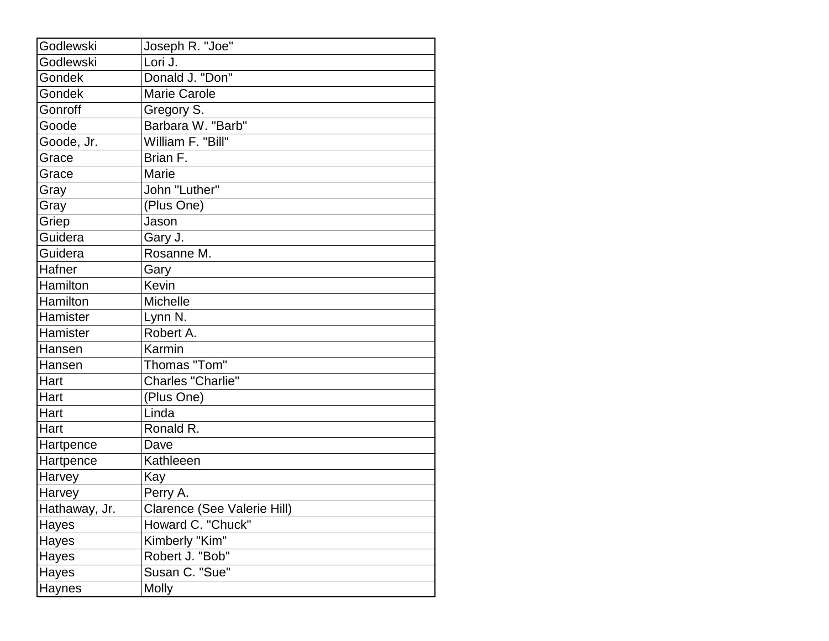| Godlewski     | Joseph R. "Joe"             |
|---------------|-----------------------------|
| Godlewski     | Lori J.                     |
| Gondek        | Donald J. "Don"             |
| Gondek        | <b>Marie Carole</b>         |
| Gonroff       | Gregory S.                  |
| Goode         | Barbara W. "Barb"           |
| Goode, Jr.    | William F. "Bill"           |
| Grace         | Brian F.                    |
| Grace         | Marie                       |
| Gray          | John "Luther"               |
| Gray          | (Plus One)                  |
| Griep         | Jason                       |
| Guidera       | Gary J.                     |
| Guidera       | Rosanne M.                  |
| Hafner        | Gary                        |
| Hamilton      | Kevin                       |
| Hamilton      | Michelle                    |
| Hamister      | Lynn N.                     |
| Hamister      | Robert A.                   |
| Hansen        | Karmin                      |
| Hansen        | Thomas "Tom"                |
| Hart          | Charles "Charlie"           |
| Hart          | (Plus One)                  |
| Hart          | Linda                       |
| Hart          | Ronald R.                   |
| Hartpence     | Dave                        |
| Hartpence     | Kathleeen                   |
| Harvey        | Kay                         |
| Harvey        | Perry A.                    |
| Hathaway, Jr. | Clarence (See Valerie Hill) |
| Hayes         | Howard C. "Chuck"           |
| Hayes         | Kimberly "Kim"              |
| Hayes         | Robert J. "Bob"             |
| Hayes         | Susan C. "Sue"              |
| Haynes        | <b>Molly</b>                |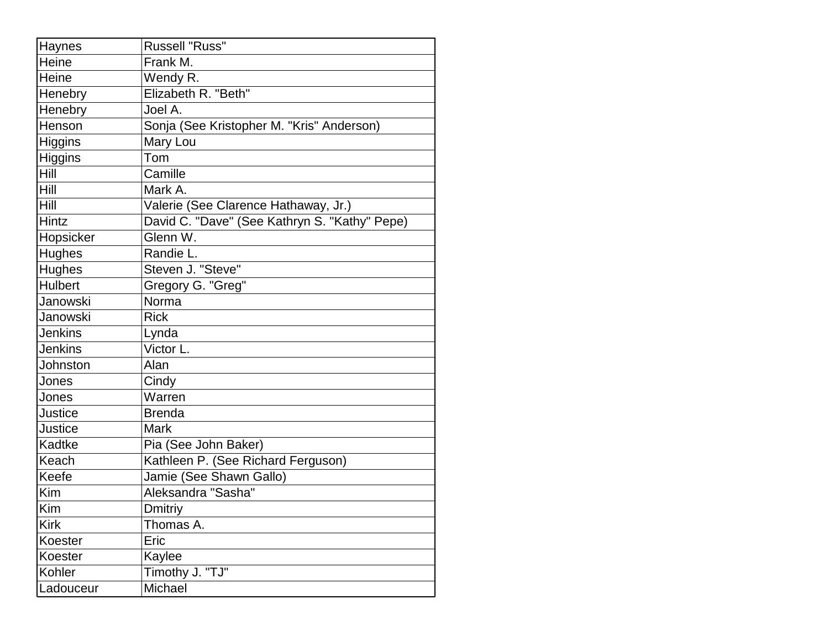| Haynes         | <b>Russell "Russ"</b>                         |
|----------------|-----------------------------------------------|
| Heine          | Frank M.                                      |
| Heine          | Wendy R.                                      |
| Henebry        | Elizabeth R. "Beth"                           |
| Henebry        | Joel A.                                       |
| Henson         | Sonja (See Kristopher M. "Kris" Anderson)     |
| Higgins        | Mary Lou                                      |
| <b>Higgins</b> | Tom                                           |
| Hill           | Camille                                       |
| Hill           | Mark A.                                       |
| Hill           | Valerie (See Clarence Hathaway, Jr.)          |
| Hintz          | David C. "Dave" (See Kathryn S. "Kathy" Pepe) |
| Hopsicker      | Glenn W.                                      |
| <b>Hughes</b>  | Randie L.                                     |
| <b>Hughes</b>  | Steven J. "Steve"                             |
| <b>Hulbert</b> | Gregory G. "Greg"                             |
| Janowski       | Norma                                         |
| Janowski       | <b>Rick</b>                                   |
| Jenkins        | Lynda                                         |
| Jenkins        | Victor L.                                     |
| Johnston       | Alan                                          |
| Jones          | Cindy                                         |
| Jones          | Warren                                        |
| Justice        | <b>Brenda</b>                                 |
| Justice        | Mark                                          |
| Kadtke         | Pia (See John Baker)                          |
| Keach          | Kathleen P. (See Richard Ferguson)            |
| Keefe          | Jamie (See Shawn Gallo)                       |
| Kim            | Aleksandra "Sasha"                            |
| Kim            | Dmitriy                                       |
| <b>Kirk</b>    | Thomas A.                                     |
| Koester        | Eric                                          |
| Koester        | Kaylee                                        |
| Kohler         | Timothy J. "TJ"                               |
| Ladouceur      | Michael                                       |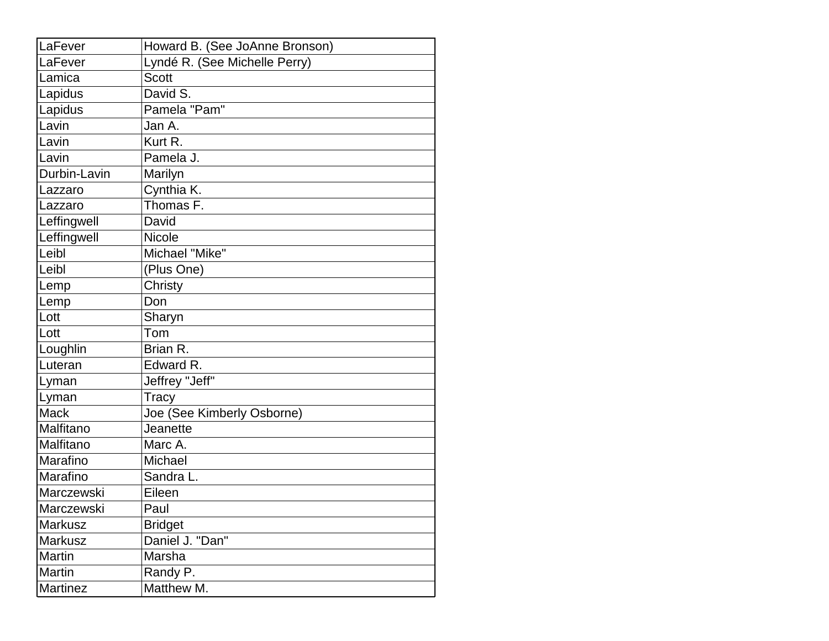| LaFever        | Howard B. (See JoAnne Bronson) |  |
|----------------|--------------------------------|--|
| LaFever        | Lyndé R. (See Michelle Perry)  |  |
| Lamica         | <b>Scott</b>                   |  |
| Lapidus        | David S.                       |  |
| Lapidus        | Pamela "Pam"                   |  |
| Lavin          | Jan A.                         |  |
| Lavin          | Kurt R.                        |  |
| Lavin          | Pamela J.                      |  |
| Durbin-Lavin   | Marilyn                        |  |
| Lazzaro        | Cynthia K.                     |  |
| Lazzaro        | Thomas F.                      |  |
| Leffingwell    | David                          |  |
| Leffingwell    | <b>Nicole</b>                  |  |
| Leibl          | Michael "Mike"                 |  |
| Leibl          | (Plus One)                     |  |
| Lemp           | Christy                        |  |
| Lemp           | Don                            |  |
| Lott           | Sharyn                         |  |
| Lott           | Tom                            |  |
| Loughlin       | Brian R.                       |  |
| Luteran        | Edward R.                      |  |
| Lyman          | Jeffrey "Jeff"                 |  |
| Lyman          | Tracy                          |  |
| <b>Mack</b>    | Joe (See Kimberly Osborne)     |  |
| Malfitano      | Jeanette                       |  |
| Malfitano      | Marc A.                        |  |
| Marafino       | Michael                        |  |
| Marafino       | Sandra L.                      |  |
| Marczewski     | Eileen                         |  |
| Marczewski     | Paul                           |  |
| Markusz        | <b>Bridget</b>                 |  |
| <b>Markusz</b> | Daniel J. "Dan"                |  |
| <b>Martin</b>  | Marsha                         |  |
| Martin         | Randy P.                       |  |
| Martinez       | Matthew M.                     |  |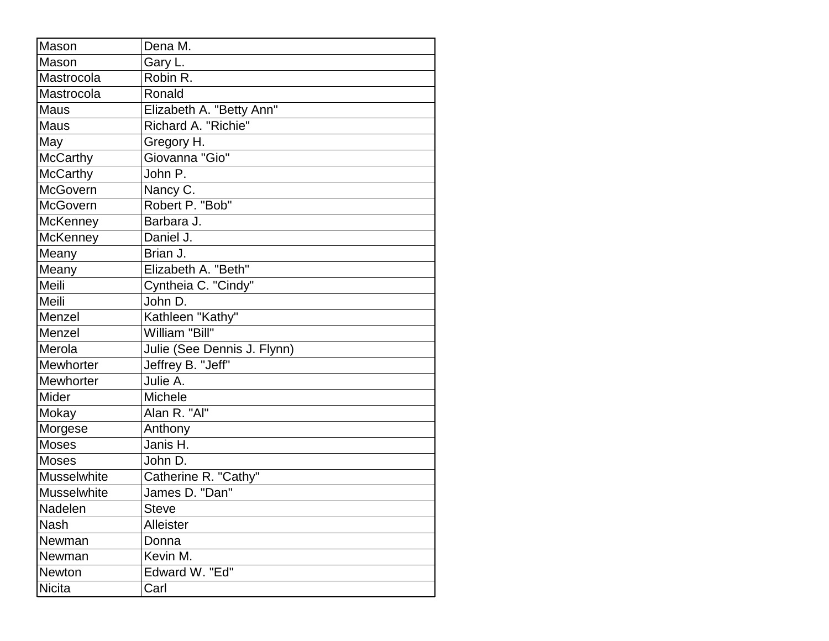| Mason              | Dena M.                     |
|--------------------|-----------------------------|
| Mason              | Gary L.                     |
| Mastrocola         | Robin R.                    |
| Mastrocola         | Ronald                      |
| Maus               | Elizabeth A. "Betty Ann"    |
| Maus               | Richard A. "Richie"         |
| May                | Gregory H.                  |
| <b>McCarthy</b>    | Giovanna "Gio"              |
| <b>McCarthy</b>    | John P.                     |
| <b>McGovern</b>    | Nancy C.                    |
| McGovern           | Robert P. "Bob"             |
| <b>McKenney</b>    | Barbara J.                  |
| <b>McKenney</b>    | Daniel J.                   |
| Meany              | Brian J.                    |
| Meany              | Elizabeth A. "Beth"         |
| Meili              | Cyntheia C. "Cindy"         |
| Meili              | John D.                     |
| Menzel             | Kathleen "Kathy"            |
| Menzel             | William "Bill"              |
| Merola             | Julie (See Dennis J. Flynn) |
| <b>Mewhorter</b>   | Jeffrey B. "Jeff"           |
| <b>Mewhorter</b>   | Julie A.                    |
| Mider              | <b>Michele</b>              |
| Mokay              | Alan R. "Al"                |
| Morgese            | Anthony                     |
| <b>Moses</b>       | Janis H.                    |
| <b>Moses</b>       | John D.                     |
| <b>Musselwhite</b> | Catherine R. "Cathy"        |
| <b>Musselwhite</b> | James D. "Dan"              |
| Nadelen            | <b>Steve</b>                |
| Nash               | Alleister                   |
| Newman             | Donna                       |
| Newman             | Kevin M.                    |
| Newton             | Edward W. "Ed"              |
| <b>Nicita</b>      | Carl                        |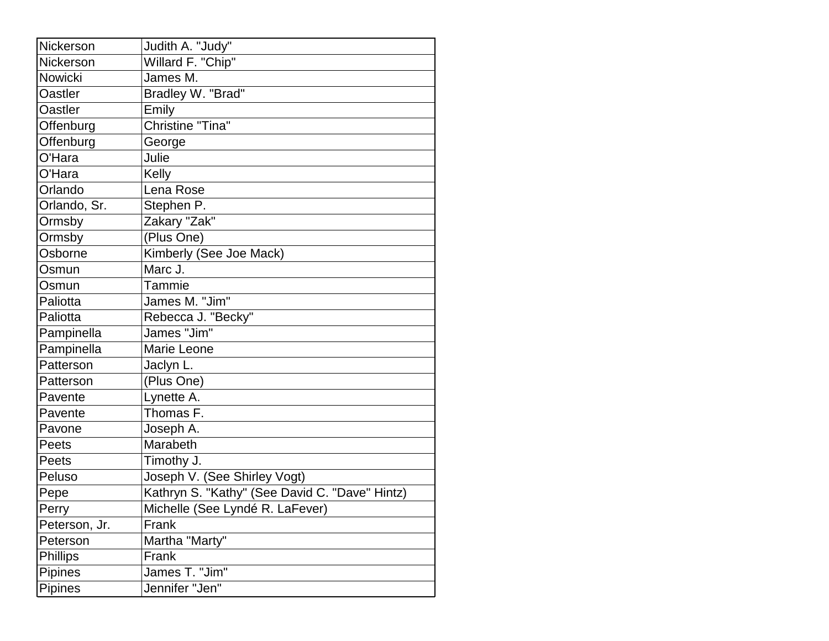| Nickerson       | Judith A. "Judy"                               |
|-----------------|------------------------------------------------|
| Nickerson       | Willard F. "Chip"                              |
| Nowicki         | James M.                                       |
| <b>Oastler</b>  | Bradley W. "Brad"                              |
| <b>Oastler</b>  | Emily                                          |
| Offenburg       | Christine "Tina"                               |
| Offenburg       | George                                         |
| O'Hara          | Julie                                          |
| O'Hara          | Kelly                                          |
| Orlando         | Lena Rose                                      |
| Orlando, Sr.    | Stephen P.                                     |
| Ormsby          | Zakary "Zak"                                   |
| Ormsby          | (Plus One)                                     |
| Osborne         | Kimberly (See Joe Mack)                        |
| Osmun           | Marc J.                                        |
| Osmun           | Tammie                                         |
| Paliotta        | James M. "Jim"                                 |
| Paliotta        | Rebecca J. "Becky"                             |
| Pampinella      | James "Jim"                                    |
| Pampinella      | Marie Leone                                    |
| Patterson       | Jaclyn L.                                      |
| Patterson       | (Plus One)                                     |
| Pavente         | Lynette A.                                     |
| Pavente         | Thomas F.                                      |
| Pavone          | Joseph A.                                      |
| Peets           | Marabeth                                       |
| Peets           | Timothy J.                                     |
| Peluso          | Joseph V. (See Shirley Vogt)                   |
| Pepe            | Kathryn S. "Kathy" (See David C. "Dave" Hintz) |
| Perry           | Michelle (See Lyndé R. LaFever)                |
| Peterson, Jr.   | Frank                                          |
| Peterson        | Martha "Marty"                                 |
| <b>Phillips</b> | Frank                                          |
| <b>Pipines</b>  | James T. "Jim"                                 |
| Pipines         | Jennifer "Jen"                                 |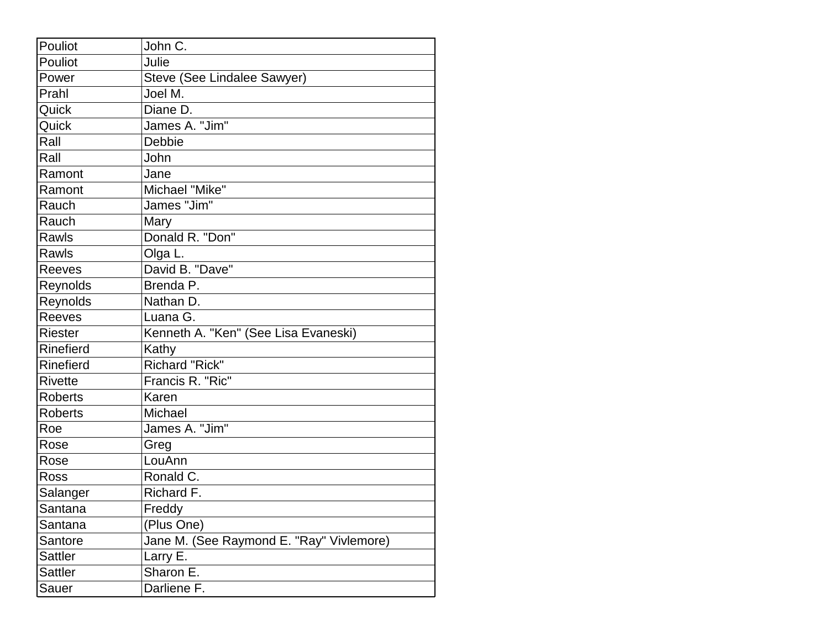| Pouliot        | John C.                                  |
|----------------|------------------------------------------|
| Pouliot        | Julie                                    |
| Power          | Steve (See Lindalee Sawyer)              |
| Prahl          | Joel M.                                  |
| Quick          | Diane D.                                 |
| Quick          | James A. "Jim"                           |
| Rall           | <b>Debbie</b>                            |
| Rall           | John                                     |
| Ramont         | Jane                                     |
| Ramont         | Michael "Mike"                           |
| Rauch          | James "Jim"                              |
| Rauch          | Mary                                     |
| Rawls          | Donald R. "Don"                          |
| Rawls          | Olga L.                                  |
| Reeves         | David B. "Dave"                          |
| Reynolds       | Brenda P.                                |
| Reynolds       | Nathan D.                                |
| Reeves         | Luana G.                                 |
| <b>Riester</b> | Kenneth A. "Ken" (See Lisa Evaneski)     |
| Rinefierd      | Kathy                                    |
| Rinefierd      | Richard "Rick"                           |
| <b>Rivette</b> | Francis R. "Ric"                         |
| <b>Roberts</b> | Karen                                    |
| <b>Roberts</b> | Michael                                  |
| Roe            | James A. "Jim"                           |
| Rose           | Greg                                     |
| Rose           | LouAnn                                   |
| Ross           | Ronald C.                                |
| Salanger       | Richard F.                               |
| Santana        | Freddy                                   |
| Santana        | (Plus One)                               |
| Santore        | Jane M. (See Raymond E. "Ray" Vivlemore) |
| Sattler        | Larry E.                                 |
| Sattler        | Sharon E.                                |
| Sauer          | Darliene F.                              |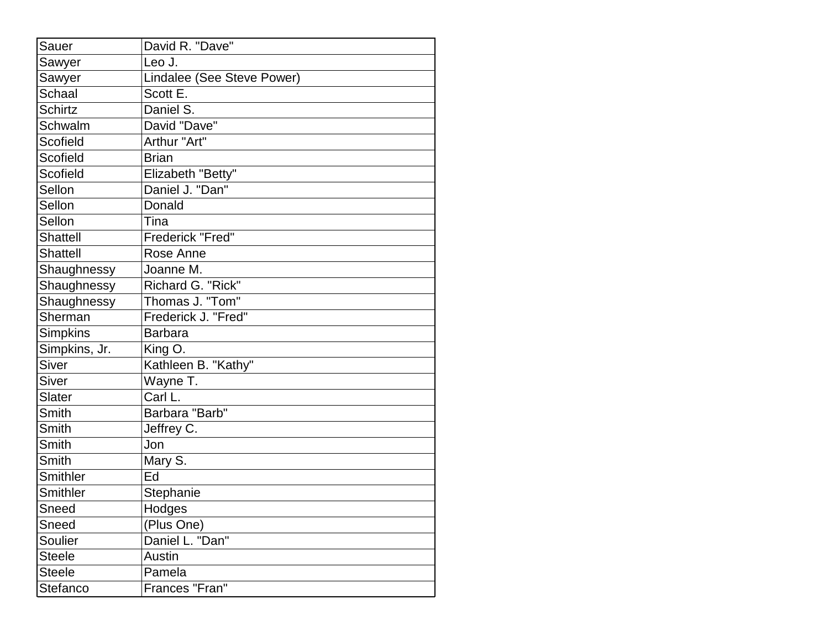| Sauer           | David R. "Dave"            |
|-----------------|----------------------------|
| Sawyer          | Leo J.                     |
| Sawyer          | Lindalee (See Steve Power) |
| <b>Schaal</b>   | Scott E.                   |
| <b>Schirtz</b>  | Daniel S.                  |
| Schwalm         | David "Dave"               |
| Scofield        | Arthur "Art"               |
| Scofield        | <b>Brian</b>               |
| Scofield        | Elizabeth "Betty"          |
| Sellon          | Daniel J. "Dan"            |
| Sellon          | Donald                     |
| Sellon          | Tina                       |
| <b>Shattell</b> | Frederick "Fred"           |
| Shattell        | Rose Anne                  |
| Shaughnessy     | Joanne M.                  |
| Shaughnessy     | Richard G. "Rick"          |
| Shaughnessy     | Thomas J. "Tom"            |
| Sherman         | Frederick J. "Fred"        |
| <b>Simpkins</b> | <b>Barbara</b>             |
| Simpkins, Jr.   | King O.                    |
| <b>Siver</b>    | Kathleen B. "Kathy"        |
| <b>Siver</b>    | Wayne T.                   |
| Slater          | Carl L.                    |
| Smith           | Barbara "Barb"             |
| Smith           | Jeffrey C.                 |
| Smith           | Jon                        |
| Smith           | Mary S.                    |
| Smithler        | Ed                         |
| <b>Smithler</b> | Stephanie                  |
| Sneed           | Hodges                     |
| Sneed           | (Plus One)                 |
| Soulier         | Daniel L. "Dan"            |
| <b>Steele</b>   | Austin                     |
| <b>Steele</b>   | Pamela                     |
| Stefanco        | Frances "Fran"             |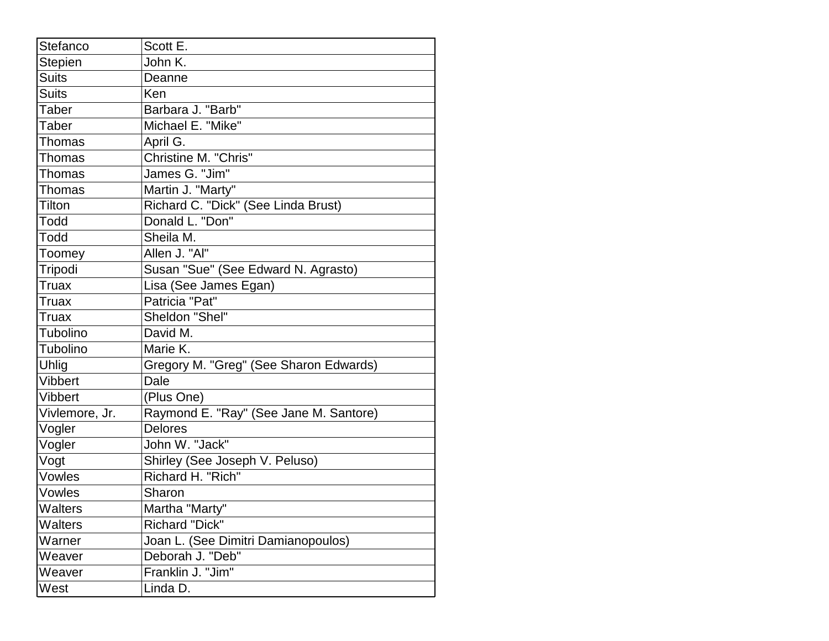| Stefanco       | Scott E.                               |
|----------------|----------------------------------------|
| <b>Stepien</b> | John K.                                |
| <b>Suits</b>   | Deanne                                 |
| <b>Suits</b>   | Ken                                    |
| Taber          | Barbara J. "Barb"                      |
| Taber          | Michael E. "Mike"                      |
| <b>Thomas</b>  | April G.                               |
| Thomas         | Christine M. "Chris"                   |
| <b>Thomas</b>  | James G. "Jim"                         |
| <b>Thomas</b>  | Martin J. "Marty"                      |
| Tilton         | Richard C. "Dick" (See Linda Brust)    |
| Todd           | Donald L. "Don"                        |
| Todd           | Sheila M.                              |
| Toomey         | Allen J. "Al"                          |
| Tripodi        | Susan "Sue" (See Edward N. Agrasto)    |
| <b>Truax</b>   | Lisa (See James Egan)                  |
| <b>Truax</b>   | Patricia "Pat"                         |
| Truax          | Sheldon "Shel"                         |
| Tubolino       | David M.                               |
| Tubolino       | Marie K.                               |
| Uhlig          | Gregory M. "Greg" (See Sharon Edwards) |
| <b>Vibbert</b> | Dale                                   |
| <b>Vibbert</b> | (Plus One)                             |
| Vivlemore, Jr. | Raymond E. "Ray" (See Jane M. Santore) |
| Vogler         | <b>Delores</b>                         |
| Vogler         | John W. "Jack"                         |
| Vogt           | Shirley (See Joseph V. Peluso)         |
| Vowles         | Richard H. "Rich"                      |
| Vowles         | Sharon                                 |
| Walters        | Martha "Marty"                         |
| Walters        | <b>Richard "Dick"</b>                  |
| Warner         | Joan L. (See Dimitri Damianopoulos)    |
| Weaver         | Deborah J. "Deb"                       |
| Weaver         | Franklin J. "Jim"                      |
| West           | Linda D.                               |